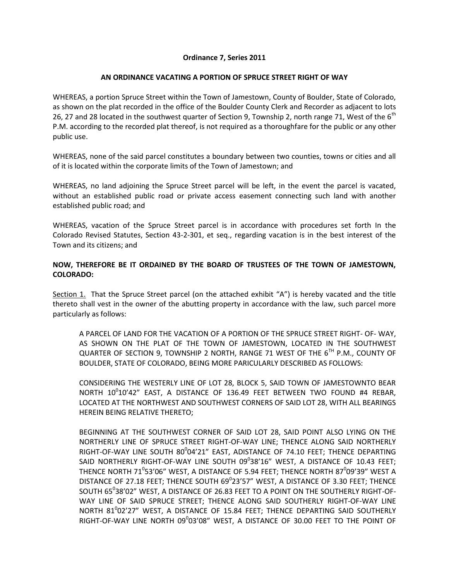## **Ordinance 7, Series 2011**

## **AN ORDINANCE VACATING A PORTION OF SPRUCE STREET RIGHT OF WAY**

WHEREAS, a portion Spruce Street within the Town of Jamestown, County of Boulder, State of Colorado, as shown on the plat recorded in the office of the Boulder County Clerk and Recorder as adjacent to lots 26, 27 and 28 located in the southwest quarter of Section 9, Township 2, north range 71, West of the  $6<sup>th</sup>$ P.M. according to the recorded plat thereof, is not required as a thoroughfare for the public or any other public use.

WHEREAS, none of the said parcel constitutes a boundary between two counties, towns or cities and all of it is located within the corporate limits of the Town of Jamestown; and

WHEREAS, no land adjoining the Spruce Street parcel will be left, in the event the parcel is vacated, without an established public road or private access easement connecting such land with another established public road; and

WHEREAS, vacation of the Spruce Street parcel is in accordance with procedures set forth In the Colorado Revised Statutes, Section 43-2-301, et seq., regarding vacation is in the best interest of the Town and its citizens; and

## **NOW, THEREFORE BE IT ORDAINED BY THE BOARD OF TRUSTEES OF THE TOWN OF JAMESTOWN, COLORADO:**

Section 1. That the Spruce Street parcel (on the attached exhibit "A") is hereby vacated and the title thereto shall vest in the owner of the abutting property in accordance with the law, such parcel more particularly as follows:

A PARCEL OF LAND FOR THE VACATION OF A PORTION OF THE SPRUCE STREET RIGHT- OF- WAY, AS SHOWN ON THE PLAT OF THE TOWN OF JAMESTOWN, LOCATED IN THE SOUTHWEST QUARTER OF SECTION 9, TOWNSHIP 2 NORTH, RANGE 71 WEST OF THE  $6^{TH}$  P.M., COUNTY OF BOULDER, STATE OF COLORADO, BEING MORE PARICULARLY DESCRIBED AS FOLLOWS:

CONSIDERING THE WESTERLY LINE OF LOT 28, BLOCK 5, SAID TOWN OF JAMESTOWNTO BEAR NORTH  $10^010'42''$  EAST, A DISTANCE OF 136.49 FEET BETWEEN TWO FOUND #4 REBAR, LOCATED AT THE NORTHWEST AND SOUTHWEST CORNERS OF SAID LOT 28, WITH ALL BEARINGS HEREIN BEING RELATIVE THERETO;

BEGINNING AT THE SOUTHWEST CORNER OF SAID LOT 28, SAID POINT ALSO LYING ON THE NORTHERLY LINE OF SPRUCE STREET RIGHT-OF-WAY LINE; THENCE ALONG SAID NORTHERLY RIGHT-OF-WAY LINE SOUTH  $80^0$ 04 $'$ 21 $''$  EAST, ADISTANCE OF 74.10 FEET; THENCE DEPARTING SAID NORTHERLY RIGHT-OF-WAY LINE SOUTH  $09^038'16''$  WEST, A DISTANCE OF 10.43 FEET; THENCE NORTH 71 $^0$ 53'06" WEST, A DISTANCE OF 5.94 FEET; THENCE NORTH 87 $^0$ 09'39" WEST A DISTANCE OF 27.18 FEET; THENCE SOUTH  $69^{\circ}$ 23'57" WEST, A DISTANCE OF 3.30 FEET; THENCE SOUTH  $65^0$ 38'02" WEST, A DISTANCE OF 26.83 FEET TO A POINT ON THE SOUTHERLY RIGHT-OF-WAY LINE OF SAID SPRUCE STREET; THENCE ALONG SAID SOUTHERLY RIGHT-OF-WAY LINE NORTH  $81^0$ 02'27" WEST, A DISTANCE OF 15.84 FEET; THENCE DEPARTING SAID SOUTHERLY RIGHT-OF-WAY LINE NORTH  $09^0$ 03 $^{\prime}$ 08 $^{\prime\prime}$  WEST, A DISTANCE OF 30.00 FEET TO THE POINT OF